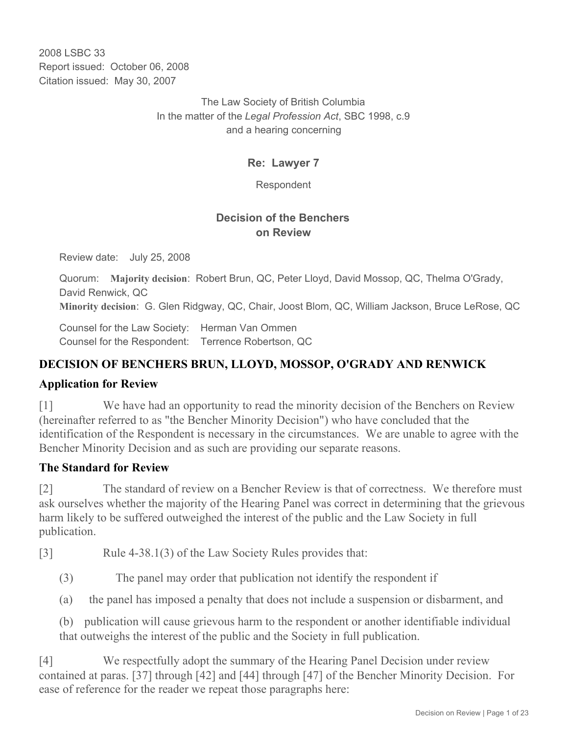2008 LSBC 33 Report issued: October 06, 2008 Citation issued: May 30, 2007

> The Law Society of British Columbia In the matter of the *Legal Profession Act*, SBC 1998, c.9 and a hearing concerning

### **Re: Lawyer 7**

Respondent

### **Decision of the Benchers on Review**

Review date: July 25, 2008

Quorum: **Majority decision**: Robert Brun, QC, Peter Lloyd, David Mossop, QC, Thelma O'Grady, David Renwick, QC

**Minority decision**: G. Glen Ridgway, QC, Chair, Joost Blom, QC, William Jackson, Bruce LeRose, QC

Counsel for the Law Society: Herman Van Ommen Counsel for the Respondent: Terrence Robertson, QC

# **DECISION OF BENCHERS BRUN, LLOYD, MOSSOP, O'GRADY AND RENWICK**

#### **Application for Review**

[1] We have had an opportunity to read the minority decision of the Benchers on Review (hereinafter referred to as "the Bencher Minority Decision") who have concluded that the identification of the Respondent is necessary in the circumstances. We are unable to agree with the Bencher Minority Decision and as such are providing our separate reasons.

#### **The Standard for Review**

[2] The standard of review on a Bencher Review is that of correctness. We therefore must ask ourselves whether the majority of the Hearing Panel was correct in determining that the grievous harm likely to be suffered outweighed the interest of the public and the Law Society in full publication.

[3] Rule 4-38.1(3) of the Law Society Rules provides that:

(3) The panel may order that publication not identify the respondent if

(a) the panel has imposed a penalty that does not include a suspension or disbarment, and

(b) publication will cause grievous harm to the respondent or another identifiable individual that outweighs the interest of the public and the Society in full publication.

[4] We respectfully adopt the summary of the Hearing Panel Decision under review contained at paras. [37] through [42] and [44] through [47] of the Bencher Minority Decision. For ease of reference for the reader we repeat those paragraphs here: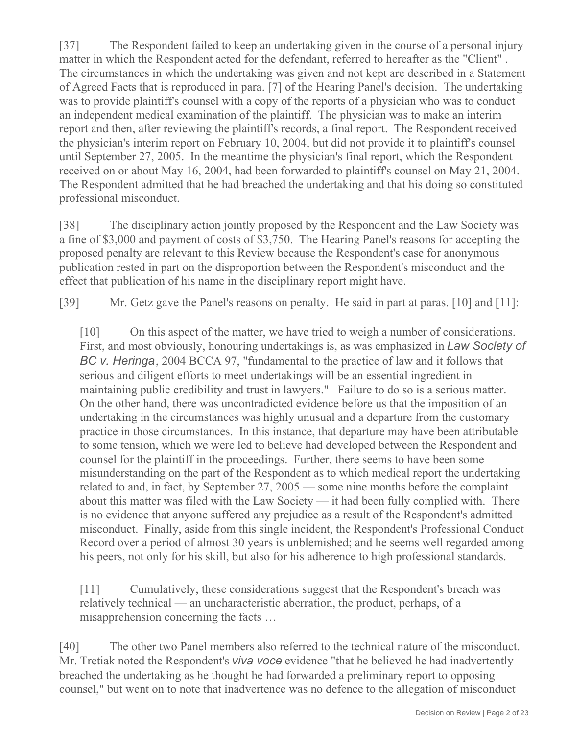[37] The Respondent failed to keep an undertaking given in the course of a personal injury matter in which the Respondent acted for the defendant, referred to hereafter as the "Client" . The circumstances in which the undertaking was given and not kept are described in a Statement of Agreed Facts that is reproduced in para. [7] of the Hearing Panel's decision. The undertaking was to provide plaintiff's counsel with a copy of the reports of a physician who was to conduct an independent medical examination of the plaintiff. The physician was to make an interim report and then, after reviewing the plaintiff's records, a final report. The Respondent received the physician's interim report on February 10, 2004, but did not provide it to plaintiff's counsel until September 27, 2005. In the meantime the physician's final report, which the Respondent received on or about May 16, 2004, had been forwarded to plaintiff's counsel on May 21, 2004. The Respondent admitted that he had breached the undertaking and that his doing so constituted professional misconduct.

[38] The disciplinary action jointly proposed by the Respondent and the Law Society was a fine of \$3,000 and payment of costs of \$3,750. The Hearing Panel's reasons for accepting the proposed penalty are relevant to this Review because the Respondent's case for anonymous publication rested in part on the disproportion between the Respondent's misconduct and the effect that publication of his name in the disciplinary report might have.

[39] Mr. Getz gave the Panel's reasons on penalty. He said in part at paras. [10] and [11]:

[10] On this aspect of the matter, we have tried to weigh a number of considerations. First, and most obviously, honouring undertakings is, as was emphasized in *Law Society of BC v. Heringa*, 2004 BCCA 97, "fundamental to the practice of law and it follows that serious and diligent efforts to meet undertakings will be an essential ingredient in maintaining public credibility and trust in lawyers." Failure to do so is a serious matter. On the other hand, there was uncontradicted evidence before us that the imposition of an undertaking in the circumstances was highly unusual and a departure from the customary practice in those circumstances. In this instance, that departure may have been attributable to some tension, which we were led to believe had developed between the Respondent and counsel for the plaintiff in the proceedings. Further, there seems to have been some misunderstanding on the part of the Respondent as to which medical report the undertaking related to and, in fact, by September 27, 2005 — some nine months before the complaint about this matter was filed with the Law Society — it had been fully complied with. There is no evidence that anyone suffered any prejudice as a result of the Respondent's admitted misconduct. Finally, aside from this single incident, the Respondent's Professional Conduct Record over a period of almost 30 years is unblemished; and he seems well regarded among his peers, not only for his skill, but also for his adherence to high professional standards.

[11] Cumulatively, these considerations suggest that the Respondent's breach was relatively technical — an uncharacteristic aberration, the product, perhaps, of a misapprehension concerning the facts …

[40] The other two Panel members also referred to the technical nature of the misconduct. Mr. Tretiak noted the Respondent's *viva voce* evidence "that he believed he had inadvertently breached the undertaking as he thought he had forwarded a preliminary report to opposing counsel," but went on to note that inadvertence was no defence to the allegation of misconduct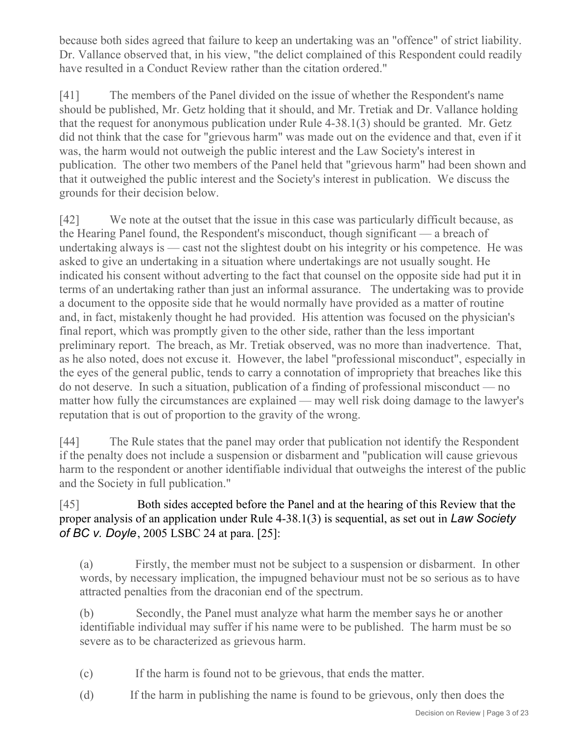because both sides agreed that failure to keep an undertaking was an "offence" of strict liability. Dr. Vallance observed that, in his view, "the delict complained of this Respondent could readily have resulted in a Conduct Review rather than the citation ordered."

[41] The members of the Panel divided on the issue of whether the Respondent's name should be published, Mr. Getz holding that it should, and Mr. Tretiak and Dr. Vallance holding that the request for anonymous publication under Rule 4-38.1(3) should be granted. Mr. Getz did not think that the case for "grievous harm" was made out on the evidence and that, even if it was, the harm would not outweigh the public interest and the Law Society's interest in publication. The other two members of the Panel held that "grievous harm" had been shown and that it outweighed the public interest and the Society's interest in publication. We discuss the grounds for their decision below.

[42] We note at the outset that the issue in this case was particularly difficult because, as the Hearing Panel found, the Respondent's misconduct, though significant — a breach of undertaking always is — cast not the slightest doubt on his integrity or his competence. He was asked to give an undertaking in a situation where undertakings are not usually sought. He indicated his consent without adverting to the fact that counsel on the opposite side had put it in terms of an undertaking rather than just an informal assurance. The undertaking was to provide a document to the opposite side that he would normally have provided as a matter of routine and, in fact, mistakenly thought he had provided. His attention was focused on the physician's final report, which was promptly given to the other side, rather than the less important preliminary report. The breach, as Mr. Tretiak observed, was no more than inadvertence. That, as he also noted, does not excuse it. However, the label "professional misconduct", especially in the eyes of the general public, tends to carry a connotation of impropriety that breaches like this do not deserve. In such a situation, publication of a finding of professional misconduct — no matter how fully the circumstances are explained — may well risk doing damage to the lawyer's reputation that is out of proportion to the gravity of the wrong.

[44] The Rule states that the panel may order that publication not identify the Respondent if the penalty does not include a suspension or disbarment and "publication will cause grievous harm to the respondent or another identifiable individual that outweighs the interest of the public and the Society in full publication."

# [45] Both sides accepted before the Panel and at the hearing of this Review that the proper analysis of an application under Rule 4-38.1(3) is sequential, as set out in *Law Society of BC v. Doyle*, 2005 LSBC 24 at para. [25]:

(a) Firstly, the member must not be subject to a suspension or disbarment. In other words, by necessary implication, the impugned behaviour must not be so serious as to have attracted penalties from the draconian end of the spectrum.

(b) Secondly, the Panel must analyze what harm the member says he or another identifiable individual may suffer if his name were to be published. The harm must be so severe as to be characterized as grievous harm.

- (c) If the harm is found not to be grievous, that ends the matter.
- (d) If the harm in publishing the name is found to be grievous, only then does the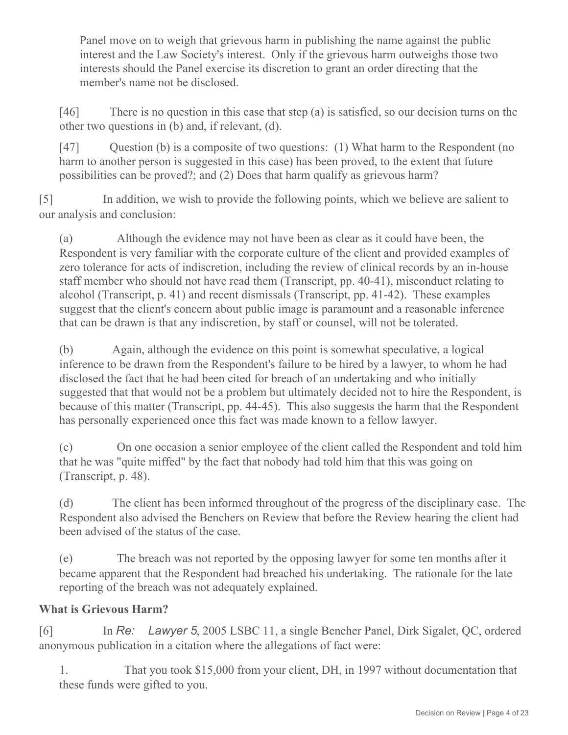Panel move on to weigh that grievous harm in publishing the name against the public interest and the Law Society's interest. Only if the grievous harm outweighs those two interests should the Panel exercise its discretion to grant an order directing that the member's name not be disclosed.

[46] There is no question in this case that step (a) is satisfied, so our decision turns on the other two questions in (b) and, if relevant, (d).

[47] Question (b) is a composite of two questions: (1) What harm to the Respondent (no harm to another person is suggested in this case) has been proved, to the extent that future possibilities can be proved?; and (2) Does that harm qualify as grievous harm?

[5] In addition, we wish to provide the following points, which we believe are salient to our analysis and conclusion:

(a) Although the evidence may not have been as clear as it could have been, the Respondent is very familiar with the corporate culture of the client and provided examples of zero tolerance for acts of indiscretion, including the review of clinical records by an in-house staff member who should not have read them (Transcript, pp. 40-41), misconduct relating to alcohol (Transcript, p. 41) and recent dismissals (Transcript, pp. 41-42). These examples suggest that the client's concern about public image is paramount and a reasonable inference that can be drawn is that any indiscretion, by staff or counsel, will not be tolerated.

(b) Again, although the evidence on this point is somewhat speculative, a logical inference to be drawn from the Respondent's failure to be hired by a lawyer, to whom he had disclosed the fact that he had been cited for breach of an undertaking and who initially suggested that that would not be a problem but ultimately decided not to hire the Respondent, is because of this matter (Transcript, pp. 44-45). This also suggests the harm that the Respondent has personally experienced once this fact was made known to a fellow lawyer.

(c) On one occasion a senior employee of the client called the Respondent and told him that he was "quite miffed" by the fact that nobody had told him that this was going on (Transcript, p. 48).

(d) The client has been informed throughout of the progress of the disciplinary case. The Respondent also advised the Benchers on Review that before the Review hearing the client had been advised of the status of the case.

(e) The breach was not reported by the opposing lawyer for some ten months after it became apparent that the Respondent had breached his undertaking. The rationale for the late reporting of the breach was not adequately explained.

# **What is Grievous Harm?**

[6] In *Re: Lawyer 5*, 2005 LSBC 11, a single Bencher Panel, Dirk Sigalet, QC, ordered anonymous publication in a citation where the allegations of fact were:

1. That you took \$15,000 from your client, DH, in 1997 without documentation that these funds were gifted to you.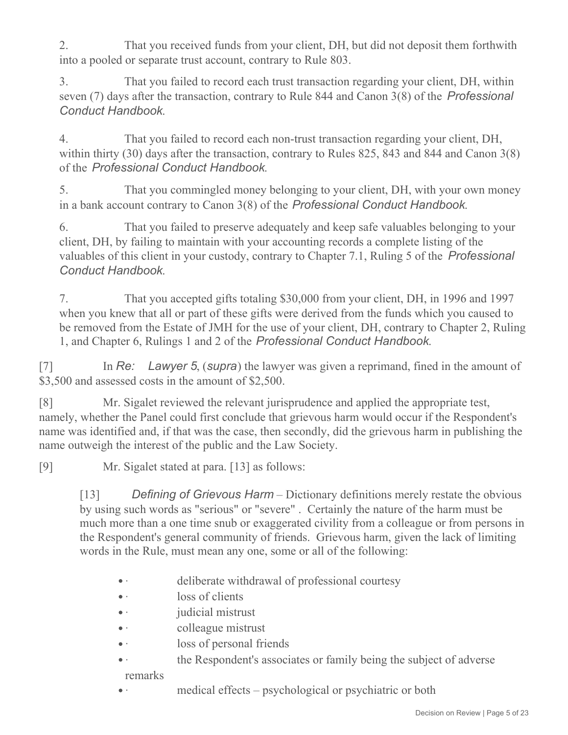2. That you received funds from your client, DH, but did not deposit them forthwith into a pooled or separate trust account, contrary to Rule 803.

3. That you failed to record each trust transaction regarding your client, DH, within seven (7) days after the transaction, contrary to Rule 844 and Canon 3(8) of the *Professional Conduct Handbook*.

4. That you failed to record each non-trust transaction regarding your client, DH, within thirty (30) days after the transaction, contrary to Rules 825, 843 and 844 and Canon 3(8) of the *Professional Conduct Handbook*.

5. That you commingled money belonging to your client, DH, with your own money in a bank account contrary to Canon 3(8) of the *Professional Conduct Handbook*.

6. That you failed to preserve adequately and keep safe valuables belonging to your client, DH, by failing to maintain with your accounting records a complete listing of the valuables of this client in your custody, contrary to Chapter 7.1, Ruling 5 of the *Professional Conduct Handbook*.

7. That you accepted gifts totaling \$30,000 from your client, DH, in 1996 and 1997 when you knew that all or part of these gifts were derived from the funds which you caused to be removed from the Estate of JMH for the use of your client, DH, contrary to Chapter 2, Ruling 1, and Chapter 6, Rulings 1 and 2 of the *Professional Conduct Handbook*.

[7] In *Re: Lawyer 5*, (*supra*) the lawyer was given a reprimand, fined in the amount of \$3,500 and assessed costs in the amount of \$2,500.

[8] Mr. Sigalet reviewed the relevant jurisprudence and applied the appropriate test, namely, whether the Panel could first conclude that grievous harm would occur if the Respondent's name was identified and, if that was the case, then secondly, did the grievous harm in publishing the name outweigh the interest of the public and the Law Society.

[9] Mr. Sigalet stated at para. [13] as follows:

[13] *Defining of Grievous Harm* – Dictionary definitions merely restate the obvious by using such words as "serious" or "severe" . Certainly the nature of the harm must be much more than a one time snub or exaggerated civility from a colleague or from persons in the Respondent's general community of friends. Grievous harm, given the lack of limiting words in the Rule, must mean any one, some or all of the following:

- · deliberate withdrawal of professional courtesy
- loss of clients
- *judicial mistrust*
- colleague mistrust
- · loss of personal friends
- the Respondent's associates or family being the subject of adverse

remarks

medical effects – psychological or psychiatric or both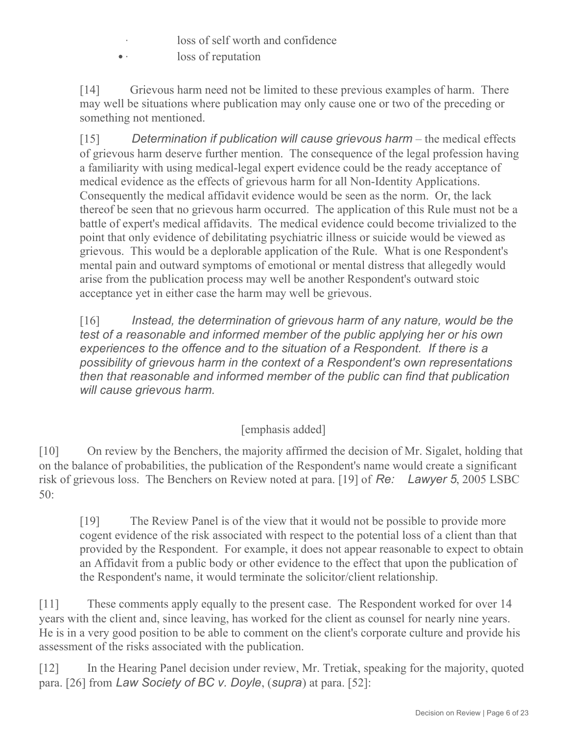- loss of self worth and confidence
- loss of reputation

[14] Grievous harm need not be limited to these previous examples of harm. There may well be situations where publication may only cause one or two of the preceding or something not mentioned.

[15] *Determination if publication will cause grievous harm* – the medical effects of grievous harm deserve further mention. The consequence of the legal profession having a familiarity with using medical-legal expert evidence could be the ready acceptance of medical evidence as the effects of grievous harm for all Non-Identity Applications. Consequently the medical affidavit evidence would be seen as the norm. Or, the lack thereof be seen that no grievous harm occurred. The application of this Rule must not be a battle of expert's medical affidavits. The medical evidence could become trivialized to the point that only evidence of debilitating psychiatric illness or suicide would be viewed as grievous. This would be a deplorable application of the Rule. What is one Respondent's mental pain and outward symptoms of emotional or mental distress that allegedly would arise from the publication process may well be another Respondent's outward stoic acceptance yet in either case the harm may well be grievous.

[16] *Instead, the determination of grievous harm of any nature, would be the test of a reasonable and informed member of the public applying her or his own experiences to the offence and to the situation of a Respondent. If there is a possibility of grievous harm in the context of a Respondent's own representations then that reasonable and informed member of the public can find that publication will cause grievous harm.*

# [emphasis added]

[10] On review by the Benchers, the majority affirmed the decision of Mr. Sigalet, holding that on the balance of probabilities, the publication of the Respondent's name would create a significant risk of grievous loss. The Benchers on Review noted at para. [19] of *Re: Lawyer 5*, 2005 LSBC 50:

[19] The Review Panel is of the view that it would not be possible to provide more cogent evidence of the risk associated with respect to the potential loss of a client than that provided by the Respondent. For example, it does not appear reasonable to expect to obtain an Affidavit from a public body or other evidence to the effect that upon the publication of the Respondent's name, it would terminate the solicitor/client relationship.

[11] These comments apply equally to the present case. The Respondent worked for over 14 years with the client and, since leaving, has worked for the client as counsel for nearly nine years. He is in a very good position to be able to comment on the client's corporate culture and provide his assessment of the risks associated with the publication.

[12] In the Hearing Panel decision under review, Mr. Tretiak, speaking for the majority, quoted para. [26] from *Law Society of BC v. Doyle*, (*supra*) at para. [52]: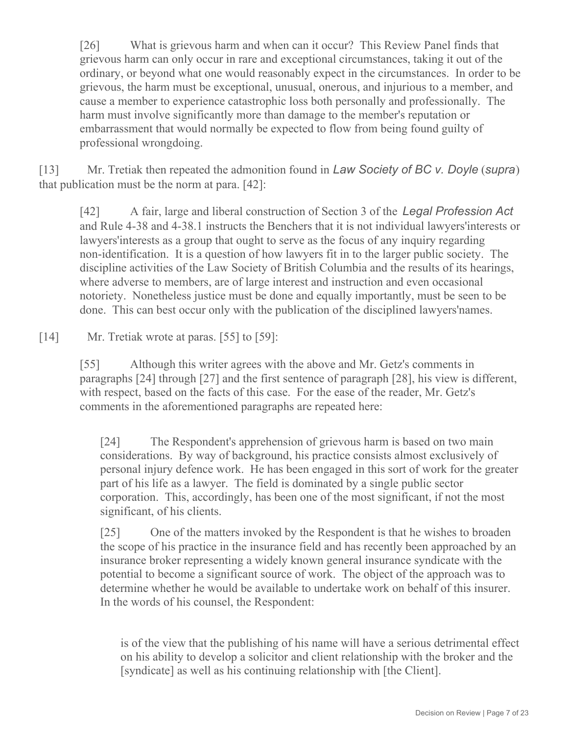[26] What is grievous harm and when can it occur? This Review Panel finds that grievous harm can only occur in rare and exceptional circumstances, taking it out of the ordinary, or beyond what one would reasonably expect in the circumstances. In order to be grievous, the harm must be exceptional, unusual, onerous, and injurious to a member, and cause a member to experience catastrophic loss both personally and professionally. The harm must involve significantly more than damage to the member's reputation or embarrassment that would normally be expected to flow from being found guilty of professional wrongdoing.

[13] Mr. Tretiak then repeated the admonition found in *Law Society of BC v. Doyle* (*supra*) that publication must be the norm at para. [42]:

[42] A fair, large and liberal construction of Section 3 of the *Legal Profession Act* and Rule 4-38 and 4-38.1 instructs the Benchers that it is not individual lawyers'interests or lawyers'interests as a group that ought to serve as the focus of any inquiry regarding non-identification. It is a question of how lawyers fit in to the larger public society. The discipline activities of the Law Society of British Columbia and the results of its hearings, where adverse to members, are of large interest and instruction and even occasional notoriety. Nonetheless justice must be done and equally importantly, must be seen to be done. This can best occur only with the publication of the disciplined lawyers'names.

[14] Mr. Tretiak wrote at paras. [55] to [59]:

[55] Although this writer agrees with the above and Mr. Getz's comments in paragraphs [24] through [27] and the first sentence of paragraph [28], his view is different, with respect, based on the facts of this case. For the ease of the reader, Mr. Getz's comments in the aforementioned paragraphs are repeated here:

[24] The Respondent's apprehension of grievous harm is based on two main considerations. By way of background, his practice consists almost exclusively of personal injury defence work. He has been engaged in this sort of work for the greater part of his life as a lawyer. The field is dominated by a single public sector corporation. This, accordingly, has been one of the most significant, if not the most significant, of his clients.

[25] One of the matters invoked by the Respondent is that he wishes to broaden the scope of his practice in the insurance field and has recently been approached by an insurance broker representing a widely known general insurance syndicate with the potential to become a significant source of work. The object of the approach was to determine whether he would be available to undertake work on behalf of this insurer. In the words of his counsel, the Respondent:

is of the view that the publishing of his name will have a serious detrimental effect on his ability to develop a solicitor and client relationship with the broker and the [syndicate] as well as his continuing relationship with [the Client].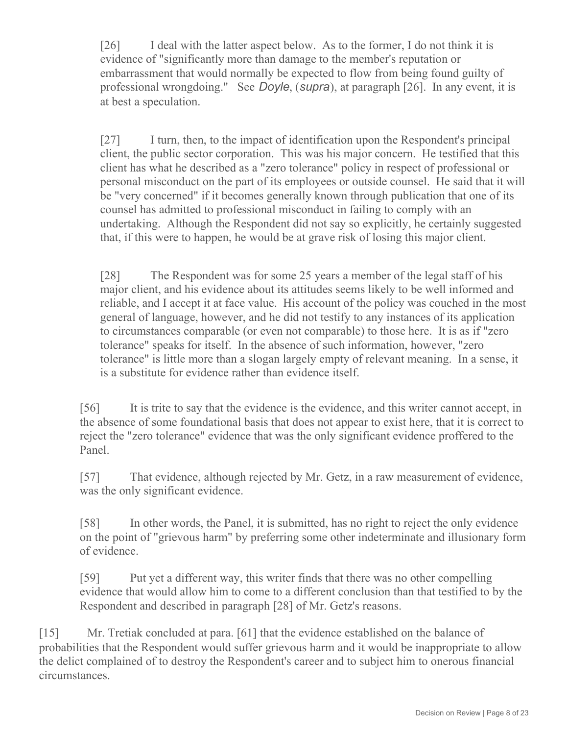[26] I deal with the latter aspect below. As to the former, I do not think it is evidence of "significantly more than damage to the member's reputation or embarrassment that would normally be expected to flow from being found guilty of professional wrongdoing." See *Doyle*, (*supra*), at paragraph [26]. In any event, it is at best a speculation.

[27] I turn, then, to the impact of identification upon the Respondent's principal client, the public sector corporation. This was his major concern. He testified that this client has what he described as a "zero tolerance" policy in respect of professional or personal misconduct on the part of its employees or outside counsel. He said that it will be "very concerned" if it becomes generally known through publication that one of its counsel has admitted to professional misconduct in failing to comply with an undertaking. Although the Respondent did not say so explicitly, he certainly suggested that, if this were to happen, he would be at grave risk of losing this major client.

[28] The Respondent was for some 25 years a member of the legal staff of his major client, and his evidence about its attitudes seems likely to be well informed and reliable, and I accept it at face value. His account of the policy was couched in the most general of language, however, and he did not testify to any instances of its application to circumstances comparable (or even not comparable) to those here. It is as if "zero tolerance" speaks for itself. In the absence of such information, however, "zero tolerance" is little more than a slogan largely empty of relevant meaning. In a sense, it is a substitute for evidence rather than evidence itself.

[56] It is trite to say that the evidence is the evidence, and this writer cannot accept, in the absence of some foundational basis that does not appear to exist here, that it is correct to reject the "zero tolerance" evidence that was the only significant evidence proffered to the Panel.

[57] That evidence, although rejected by Mr. Getz, in a raw measurement of evidence, was the only significant evidence.

[58] In other words, the Panel, it is submitted, has no right to reject the only evidence on the point of "grievous harm" by preferring some other indeterminate and illusionary form of evidence.

[59] Put yet a different way, this writer finds that there was no other compelling evidence that would allow him to come to a different conclusion than that testified to by the Respondent and described in paragraph [28] of Mr. Getz's reasons.

[15] Mr. Tretiak concluded at para. [61] that the evidence established on the balance of probabilities that the Respondent would suffer grievous harm and it would be inappropriate to allow the delict complained of to destroy the Respondent's career and to subject him to onerous financial circumstances.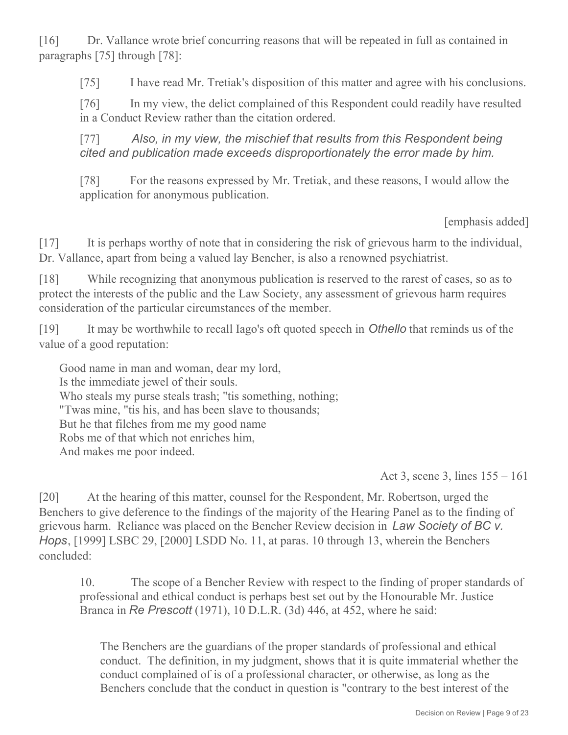[16] Dr. Vallance wrote brief concurring reasons that will be repeated in full as contained in paragraphs [75] through [78]:

[75] I have read Mr. Tretiak's disposition of this matter and agree with his conclusions.

[76] In my view, the delict complained of this Respondent could readily have resulted in a Conduct Review rather than the citation ordered.

[77] *Also, in my view, the mischief that results from this Respondent being cited and publication made exceeds disproportionately the error made by him.*

[78] For the reasons expressed by Mr. Tretiak, and these reasons, I would allow the application for anonymous publication.

[emphasis added]

[17] It is perhaps worthy of note that in considering the risk of grievous harm to the individual, Dr. Vallance, apart from being a valued lay Bencher, is also a renowned psychiatrist.

[18] While recognizing that anonymous publication is reserved to the rarest of cases, so as to protect the interests of the public and the Law Society, any assessment of grievous harm requires consideration of the particular circumstances of the member.

[19] It may be worthwhile to recall Iago's oft quoted speech in *Othello* that reminds us of the value of a good reputation:

Good name in man and woman, dear my lord, Is the immediate jewel of their souls. Who steals my purse steals trash; "tis something, nothing; "Twas mine, "tis his, and has been slave to thousands; But he that filches from me my good name Robs me of that which not enriches him, And makes me poor indeed.

Act 3, scene 3, lines 155 – 161

[20] At the hearing of this matter, counsel for the Respondent, Mr. Robertson, urged the Benchers to give deference to the findings of the majority of the Hearing Panel as to the finding of grievous harm. Reliance was placed on the Bencher Review decision in *Law Society of BC v. Hops*, [1999] LSBC 29, [2000] LSDD No. 11, at paras. 10 through 13, wherein the Benchers concluded:

10. The scope of a Bencher Review with respect to the finding of proper standards of professional and ethical conduct is perhaps best set out by the Honourable Mr. Justice Branca in *Re Prescott* (1971), 10 D.L.R. (3d) 446, at 452, where he said:

The Benchers are the guardians of the proper standards of professional and ethical conduct. The definition, in my judgment, shows that it is quite immaterial whether the conduct complained of is of a professional character, or otherwise, as long as the Benchers conclude that the conduct in question is "contrary to the best interest of the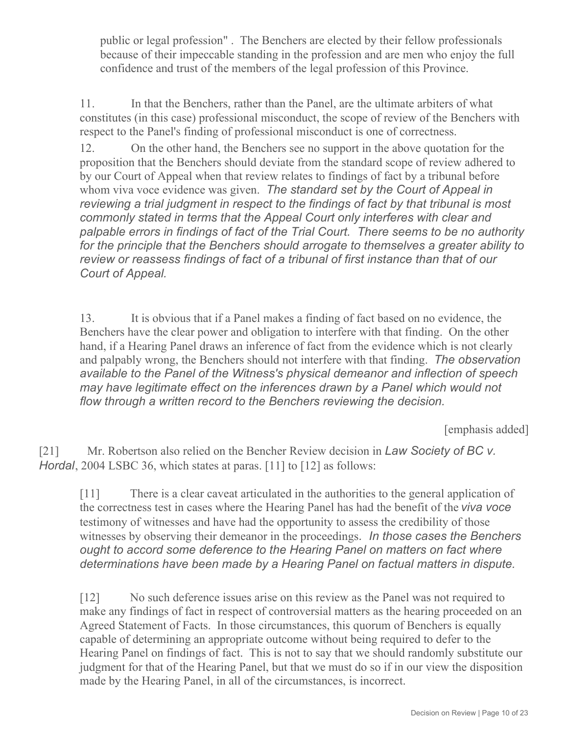public or legal profession" . The Benchers are elected by their fellow professionals because of their impeccable standing in the profession and are men who enjoy the full confidence and trust of the members of the legal profession of this Province.

11. In that the Benchers, rather than the Panel, are the ultimate arbiters of what constitutes (in this case) professional misconduct, the scope of review of the Benchers with respect to the Panel's finding of professional misconduct is one of correctness.

12. On the other hand, the Benchers see no support in the above quotation for the proposition that the Benchers should deviate from the standard scope of review adhered to by our Court of Appeal when that review relates to findings of fact by a tribunal before whom viva voce evidence was given. *The standard set by the Court of Appeal in reviewing a trial judgment in respect to the findings of fact by that tribunal is most commonly stated in terms that the Appeal Court only interferes with clear and palpable errors in findings of fact of the Trial Court. There seems to be no authority for the principle that the Benchers should arrogate to themselves a greater ability to review or reassess findings of fact of a tribunal of first instance than that of our Court of Appeal.*

13. It is obvious that if a Panel makes a finding of fact based on no evidence, the Benchers have the clear power and obligation to interfere with that finding. On the other hand, if a Hearing Panel draws an inference of fact from the evidence which is not clearly and palpably wrong, the Benchers should not interfere with that finding. *The observation available to the Panel of the Witness's physical demeanor and inflection of speech may have legitimate effect on the inferences drawn by a Panel which would not flow through a written record to the Benchers reviewing the decision.*

[emphasis added]

[21] Mr. Robertson also relied on the Bencher Review decision in *Law Society of BC v. Hordal*, 2004 LSBC 36, which states at paras. [11] to [12] as follows:

[11] There is a clear caveat articulated in the authorities to the general application of the correctness test in cases where the Hearing Panel has had the benefit of the *viva voce* testimony of witnesses and have had the opportunity to assess the credibility of those witnesses by observing their demeanor in the proceedings*. In those cases the Benchers ought to accord some deference to the Hearing Panel on matters on fact where determinations have been made by a Hearing Panel on factual matters in dispute.*

[12] No such deference issues arise on this review as the Panel was not required to make any findings of fact in respect of controversial matters as the hearing proceeded on an Agreed Statement of Facts. In those circumstances, this quorum of Benchers is equally capable of determining an appropriate outcome without being required to defer to the Hearing Panel on findings of fact. This is not to say that we should randomly substitute our judgment for that of the Hearing Panel, but that we must do so if in our view the disposition made by the Hearing Panel, in all of the circumstances, is incorrect.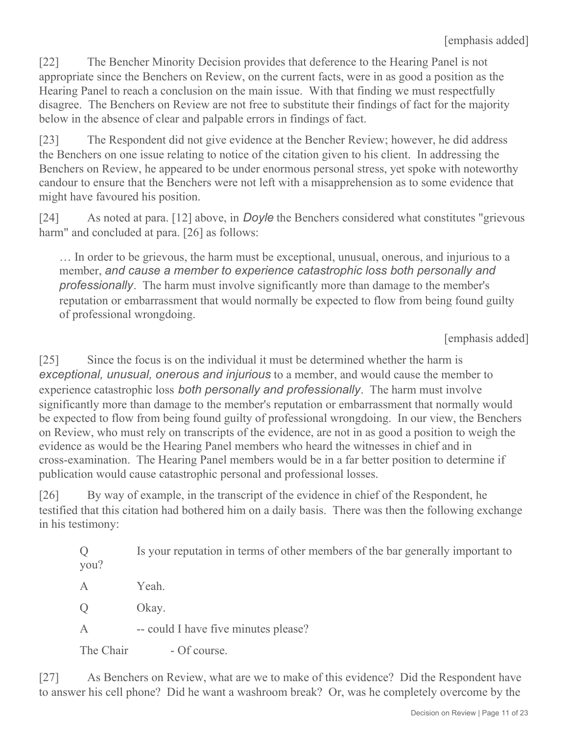[22] The Bencher Minority Decision provides that deference to the Hearing Panel is not appropriate since the Benchers on Review, on the current facts, were in as good a position as the Hearing Panel to reach a conclusion on the main issue. With that finding we must respectfully disagree. The Benchers on Review are not free to substitute their findings of fact for the majority below in the absence of clear and palpable errors in findings of fact.

[23] The Respondent did not give evidence at the Bencher Review; however, he did address the Benchers on one issue relating to notice of the citation given to his client. In addressing the Benchers on Review, he appeared to be under enormous personal stress, yet spoke with noteworthy candour to ensure that the Benchers were not left with a misapprehension as to some evidence that might have favoured his position.

[24] As noted at para. [12] above, in *Doyle* the Benchers considered what constitutes "grievous harm" and concluded at para. [26] as follows:

… In order to be grievous, the harm must be exceptional, unusual, onerous, and injurious to a member, *and cause a member to experience catastrophic loss both personally and professionally*. The harm must involve significantly more than damage to the member's reputation or embarrassment that would normally be expected to flow from being found guilty of professional wrongdoing.

[emphasis added]

[25] Since the focus is on the individual it must be determined whether the harm is *exceptional, unusual, onerous and injurious* to a member, and would cause the member to experience catastrophic loss *both personally and professionally*. The harm must involve significantly more than damage to the member's reputation or embarrassment that normally would be expected to flow from being found guilty of professional wrongdoing. In our view, the Benchers on Review, who must rely on transcripts of the evidence, are not in as good a position to weigh the evidence as would be the Hearing Panel members who heard the witnesses in chief and in cross-examination. The Hearing Panel members would be in a far better position to determine if publication would cause catastrophic personal and professional losses.

[26] By way of example, in the transcript of the evidence in chief of the Respondent, he testified that this citation had bothered him on a daily basis. There was then the following exchange in his testimony:

Q Is your reputation in terms of other members of the bar generally important to you?

A Yeah.

Q Okay.

A -- could I have five minutes please?

The Chair **- Of course**.

[27] As Benchers on Review, what are we to make of this evidence? Did the Respondent have to answer his cell phone? Did he want a washroom break? Or, was he completely overcome by the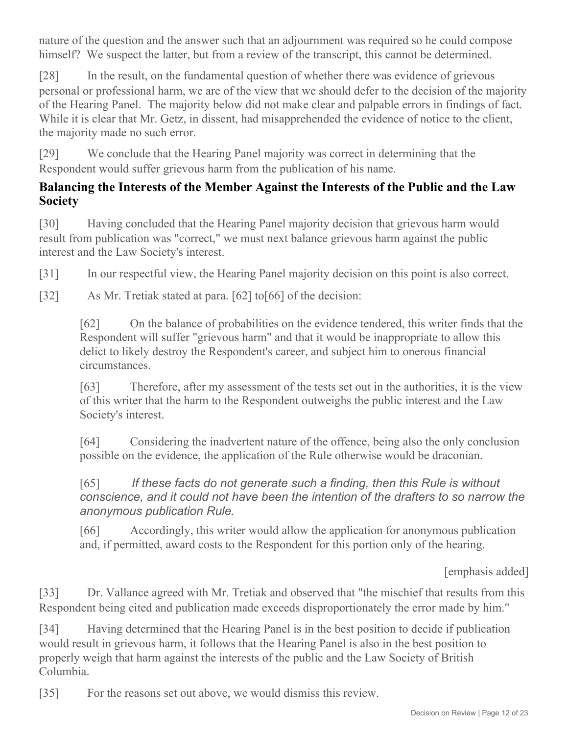nature of the question and the answer such that an adjournment was required so he could compose himself? We suspect the latter, but from a review of the transcript, this cannot be determined.

[28] In the result, on the fundamental question of whether there was evidence of grievous personal or professional harm, we are of the view that we should defer to the decision of the majority of the Hearing Panel. The majority below did not make clear and palpable errors in findings of fact. While it is clear that Mr. Getz, in dissent, had misapprehended the evidence of notice to the client, the majority made no such error.

[29] We conclude that the Hearing Panel majority was correct in determining that the Respondent would suffer grievous harm from the publication of his name.

# **Balancing the Interests of the Member Against the Interests of the Public and the Law Society**

[30] Having concluded that the Hearing Panel majority decision that grievous harm would result from publication was "correct," we must next balance grievous harm against the public interest and the Law Society's interest.

[31] In our respectful view, the Hearing Panel majority decision on this point is also correct.

[32] As Mr. Tretiak stated at para. [62] to[66] of the decision:

[62] On the balance of probabilities on the evidence tendered, this writer finds that the Respondent will suffer "grievous harm" and that it would be inappropriate to allow this delict to likely destroy the Respondent's career, and subject him to onerous financial circumstances.

[63] Therefore, after my assessment of the tests set out in the authorities, it is the view of this writer that the harm to the Respondent outweighs the public interest and the Law Society's interest.

[64] Considering the inadvertent nature of the offence, being also the only conclusion possible on the evidence, the application of the Rule otherwise would be draconian.

# [65] *If these facts do not generate such a finding, then this Rule is without conscience, and it could not have been the intention of the drafters to so narrow the anonymous publication Rule.*

[66] Accordingly, this writer would allow the application for anonymous publication and, if permitted, award costs to the Respondent for this portion only of the hearing.

[emphasis added]

[33] Dr. Vallance agreed with Mr. Tretiak and observed that "the mischief that results from this Respondent being cited and publication made exceeds disproportionately the error made by him."

[34] Having determined that the Hearing Panel is in the best position to decide if publication would result in grievous harm, it follows that the Hearing Panel is also in the best position to properly weigh that harm against the interests of the public and the Law Society of British Columbia.

[35] For the reasons set out above, we would dismiss this review.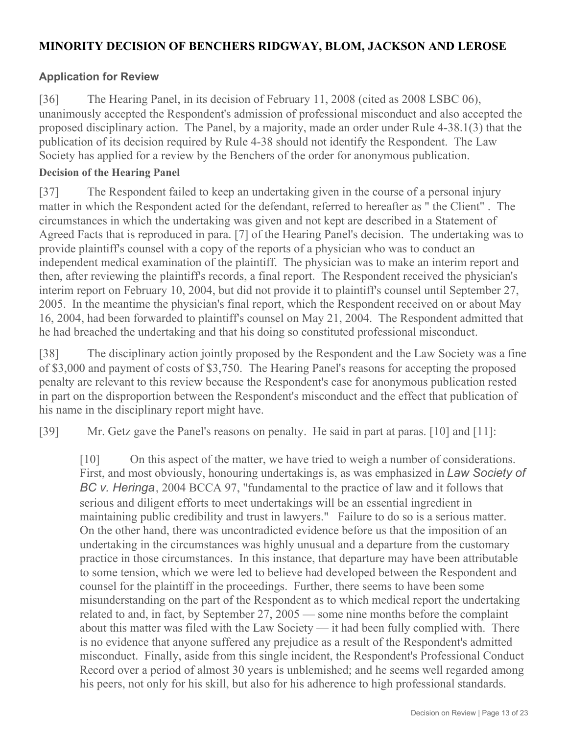### **MINORITY DECISION OF BENCHERS RIDGWAY, BLOM, JACKSON AND LEROSE**

### **Application for Review**

[36] The Hearing Panel, in its decision of February 11, 2008 (cited as 2008 LSBC 06), unanimously accepted the Respondent's admission of professional misconduct and also accepted the proposed disciplinary action. The Panel, by a majority, made an order under Rule 4-38.1(3) that the publication of its decision required by Rule 4-38 should not identify the Respondent. The Law Society has applied for a review by the Benchers of the order for anonymous publication.

#### **Decision of the Hearing Panel**

[37] The Respondent failed to keep an undertaking given in the course of a personal injury matter in which the Respondent acted for the defendant, referred to hereafter as " the Client" . The circumstances in which the undertaking was given and not kept are described in a Statement of Agreed Facts that is reproduced in para. [7] of the Hearing Panel's decision. The undertaking was to provide plaintiff's counsel with a copy of the reports of a physician who was to conduct an independent medical examination of the plaintiff. The physician was to make an interim report and then, after reviewing the plaintiff's records, a final report. The Respondent received the physician's interim report on February 10, 2004, but did not provide it to plaintiff's counsel until September 27, 2005. In the meantime the physician's final report, which the Respondent received on or about May 16, 2004, had been forwarded to plaintiff's counsel on May 21, 2004. The Respondent admitted that he had breached the undertaking and that his doing so constituted professional misconduct.

[38] The disciplinary action jointly proposed by the Respondent and the Law Society was a fine of \$3,000 and payment of costs of \$3,750. The Hearing Panel's reasons for accepting the proposed penalty are relevant to this review because the Respondent's case for anonymous publication rested in part on the disproportion between the Respondent's misconduct and the effect that publication of his name in the disciplinary report might have.

[39] Mr. Getz gave the Panel's reasons on penalty. He said in part at paras. [10] and [11]:

[10] On this aspect of the matter, we have tried to weigh a number of considerations. First, and most obviously, honouring undertakings is, as was emphasized in *Law Society of BC v. Heringa*, 2004 BCCA 97, "fundamental to the practice of law and it follows that serious and diligent efforts to meet undertakings will be an essential ingredient in maintaining public credibility and trust in lawyers." Failure to do so is a serious matter. On the other hand, there was uncontradicted evidence before us that the imposition of an undertaking in the circumstances was highly unusual and a departure from the customary practice in those circumstances. In this instance, that departure may have been attributable to some tension, which we were led to believe had developed between the Respondent and counsel for the plaintiff in the proceedings. Further, there seems to have been some misunderstanding on the part of the Respondent as to which medical report the undertaking related to and, in fact, by September 27, 2005 — some nine months before the complaint about this matter was filed with the Law Society — it had been fully complied with. There is no evidence that anyone suffered any prejudice as a result of the Respondent's admitted misconduct. Finally, aside from this single incident, the Respondent's Professional Conduct Record over a period of almost 30 years is unblemished; and he seems well regarded among his peers, not only for his skill, but also for his adherence to high professional standards.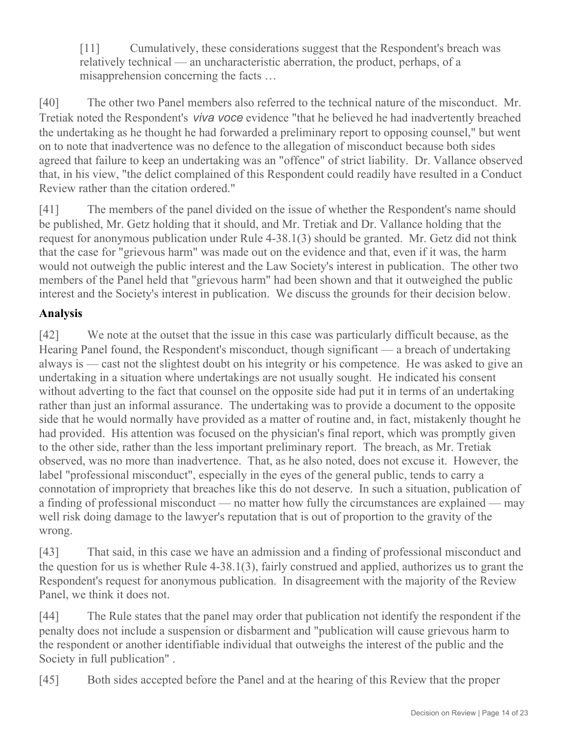[11] Cumulatively, these considerations suggest that the Respondent's breach was relatively technical — an uncharacteristic aberration, the product, perhaps, of a misapprehension concerning the facts …

[40] The other two Panel members also referred to the technical nature of the misconduct. Mr. Tretiak noted the Respondent's *viva voce* evidence "that he believed he had inadvertently breached the undertaking as he thought he had forwarded a preliminary report to opposing counsel," but went on to note that inadvertence was no defence to the allegation of misconduct because both sides agreed that failure to keep an undertaking was an "offence" of strict liability. Dr. Vallance observed that, in his view, "the delict complained of this Respondent could readily have resulted in a Conduct Review rather than the citation ordered."

[41] The members of the panel divided on the issue of whether the Respondent's name should be published, Mr. Getz holding that it should, and Mr. Tretiak and Dr. Vallance holding that the request for anonymous publication under Rule 4-38.1(3) should be granted. Mr. Getz did not think that the case for "grievous harm" was made out on the evidence and that, even if it was, the harm would not outweigh the public interest and the Law Society's interest in publication. The other two members of the Panel held that "grievous harm" had been shown and that it outweighed the public interest and the Society's interest in publication. We discuss the grounds for their decision below.

# **Analysis**

[42] We note at the outset that the issue in this case was particularly difficult because, as the Hearing Panel found, the Respondent's misconduct, though significant — a breach of undertaking always is — cast not the slightest doubt on his integrity or his competence. He was asked to give an undertaking in a situation where undertakings are not usually sought. He indicated his consent without adverting to the fact that counsel on the opposite side had put it in terms of an undertaking rather than just an informal assurance. The undertaking was to provide a document to the opposite side that he would normally have provided as a matter of routine and, in fact, mistakenly thought he had provided. His attention was focused on the physician's final report, which was promptly given to the other side, rather than the less important preliminary report. The breach, as Mr. Tretiak observed, was no more than inadvertence. That, as he also noted, does not excuse it. However, the label "professional misconduct", especially in the eyes of the general public, tends to carry a connotation of impropriety that breaches like this do not deserve. In such a situation, publication of a finding of professional misconduct — no matter how fully the circumstances are explained — may well risk doing damage to the lawyer's reputation that is out of proportion to the gravity of the wrong.

[43] That said, in this case we have an admission and a finding of professional misconduct and the question for us is whether Rule 4-38.1(3), fairly construed and applied, authorizes us to grant the Respondent's request for anonymous publication. In disagreement with the majority of the Review Panel, we think it does not.

[44] The Rule states that the panel may order that publication not identify the respondent if the penalty does not include a suspension or disbarment and "publication will cause grievous harm to the respondent or another identifiable individual that outweighs the interest of the public and the Society in full publication" .

[45] Both sides accepted before the Panel and at the hearing of this Review that the proper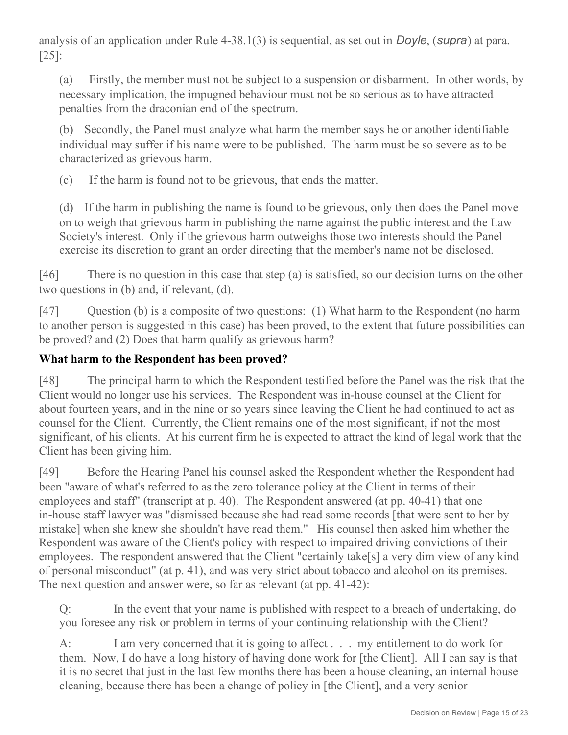analysis of an application under Rule 4-38.1(3) is sequential, as set out in *Doyle*, (*supra*) at para. [25]:

(a) Firstly, the member must not be subject to a suspension or disbarment. In other words, by necessary implication, the impugned behaviour must not be so serious as to have attracted penalties from the draconian end of the spectrum.

(b) Secondly, the Panel must analyze what harm the member says he or another identifiable individual may suffer if his name were to be published. The harm must be so severe as to be characterized as grievous harm.

(c) If the harm is found not to be grievous, that ends the matter.

(d) If the harm in publishing the name is found to be grievous, only then does the Panel move on to weigh that grievous harm in publishing the name against the public interest and the Law Society's interest. Only if the grievous harm outweighs those two interests should the Panel exercise its discretion to grant an order directing that the member's name not be disclosed.

[46] There is no question in this case that step (a) is satisfied, so our decision turns on the other two questions in (b) and, if relevant, (d).

[47] Question (b) is a composite of two questions: (1) What harm to the Respondent (no harm to another person is suggested in this case) has been proved, to the extent that future possibilities can be proved? and (2) Does that harm qualify as grievous harm?

# **What harm to the Respondent has been proved?**

[48] The principal harm to which the Respondent testified before the Panel was the risk that the Client would no longer use his services. The Respondent was in-house counsel at the Client for about fourteen years, and in the nine or so years since leaving the Client he had continued to act as counsel for the Client. Currently, the Client remains one of the most significant, if not the most significant, of his clients. At his current firm he is expected to attract the kind of legal work that the Client has been giving him.

[49] Before the Hearing Panel his counsel asked the Respondent whether the Respondent had been "aware of what's referred to as the zero tolerance policy at the Client in terms of their employees and staff" (transcript at p. 40). The Respondent answered (at pp. 40-41) that one in-house staff lawyer was "dismissed because she had read some records [that were sent to her by mistake] when she knew she shouldn't have read them." His counsel then asked him whether the Respondent was aware of the Client's policy with respect to impaired driving convictions of their employees. The respondent answered that the Client "certainly take[s] a very dim view of any kind of personal misconduct" (at p. 41), and was very strict about tobacco and alcohol on its premises. The next question and answer were, so far as relevant (at pp. 41-42):

Q: In the event that your name is published with respect to a breach of undertaking, do you foresee any risk or problem in terms of your continuing relationship with the Client?

A: I am very concerned that it is going to affect . . . my entitlement to do work for them. Now, I do have a long history of having done work for [the Client]. All I can say is that it is no secret that just in the last few months there has been a house cleaning, an internal house cleaning, because there has been a change of policy in [the Client], and a very senior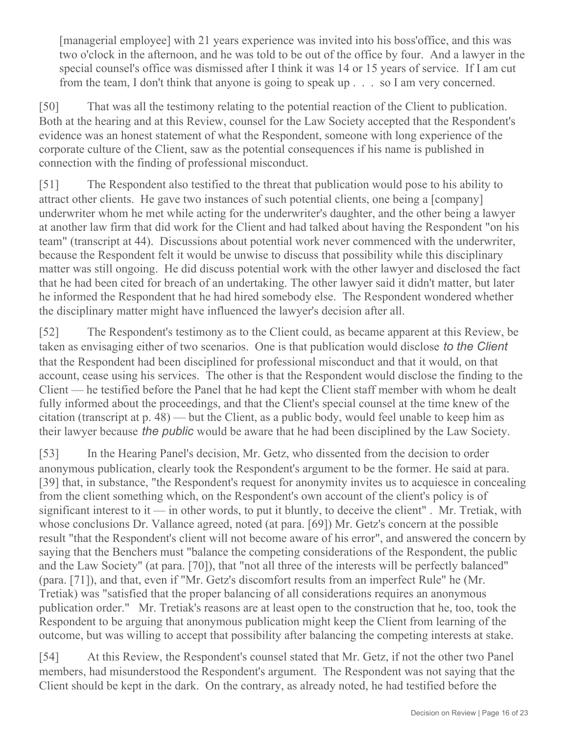[managerial employee] with 21 years experience was invited into his boss'office, and this was two o'clock in the afternoon, and he was told to be out of the office by four. And a lawyer in the special counsel's office was dismissed after I think it was 14 or 15 years of service. If I am cut from the team, I don't think that anyone is going to speak up . . . so I am very concerned.

[50] That was all the testimony relating to the potential reaction of the Client to publication. Both at the hearing and at this Review, counsel for the Law Society accepted that the Respondent's evidence was an honest statement of what the Respondent, someone with long experience of the corporate culture of the Client, saw as the potential consequences if his name is published in connection with the finding of professional misconduct.

[51] The Respondent also testified to the threat that publication would pose to his ability to attract other clients. He gave two instances of such potential clients, one being a [company] underwriter whom he met while acting for the underwriter's daughter, and the other being a lawyer at another law firm that did work for the Client and had talked about having the Respondent "on his team" (transcript at 44). Discussions about potential work never commenced with the underwriter, because the Respondent felt it would be unwise to discuss that possibility while this disciplinary matter was still ongoing. He did discuss potential work with the other lawyer and disclosed the fact that he had been cited for breach of an undertaking. The other lawyer said it didn't matter, but later he informed the Respondent that he had hired somebody else. The Respondent wondered whether the disciplinary matter might have influenced the lawyer's decision after all.

[52] The Respondent's testimony as to the Client could, as became apparent at this Review, be taken as envisaging either of two scenarios. One is that publication would disclose *to the Client* that the Respondent had been disciplined for professional misconduct and that it would, on that account, cease using his services. The other is that the Respondent would disclose the finding to the Client — he testified before the Panel that he had kept the Client staff member with whom he dealt fully informed about the proceedings, and that the Client's special counsel at the time knew of the citation (transcript at p. 48) — but the Client, as a public body, would feel unable to keep him as their lawyer because *the public* would be aware that he had been disciplined by the Law Society.

[53] In the Hearing Panel's decision, Mr. Getz, who dissented from the decision to order anonymous publication, clearly took the Respondent's argument to be the former. He said at para. [39] that, in substance, "the Respondent's request for anonymity invites us to acquiesce in concealing from the client something which, on the Respondent's own account of the client's policy is of significant interest to it — in other words, to put it bluntly, to deceive the client". Mr. Tretiak, with whose conclusions Dr. Vallance agreed, noted (at para. [69]) Mr. Getz's concern at the possible result "that the Respondent's client will not become aware of his error", and answered the concern by saying that the Benchers must "balance the competing considerations of the Respondent, the public and the Law Society" (at para. [70]), that "not all three of the interests will be perfectly balanced" (para. [71]), and that, even if "Mr. Getz's discomfort results from an imperfect Rule" he (Mr. Tretiak) was "satisfied that the proper balancing of all considerations requires an anonymous publication order." Mr. Tretiak's reasons are at least open to the construction that he, too, took the Respondent to be arguing that anonymous publication might keep the Client from learning of the outcome, but was willing to accept that possibility after balancing the competing interests at stake.

[54] At this Review, the Respondent's counsel stated that Mr. Getz, if not the other two Panel members, had misunderstood the Respondent's argument. The Respondent was not saying that the Client should be kept in the dark. On the contrary, as already noted, he had testified before the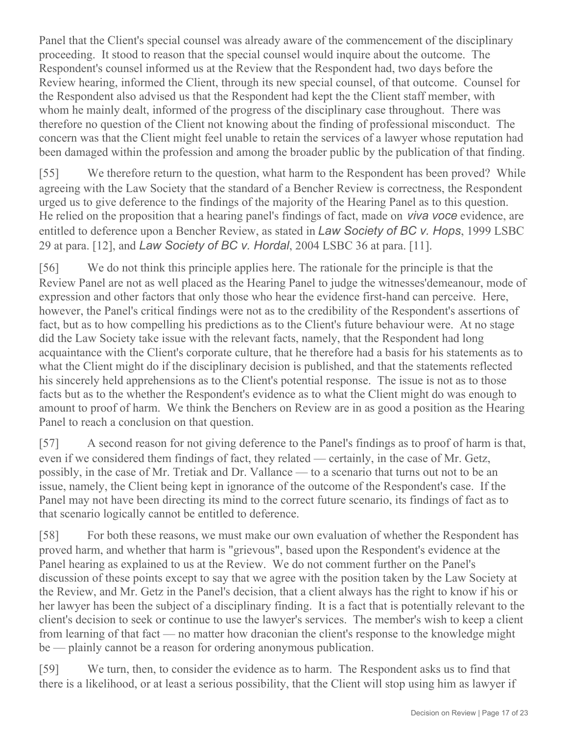Panel that the Client's special counsel was already aware of the commencement of the disciplinary proceeding. It stood to reason that the special counsel would inquire about the outcome. The Respondent's counsel informed us at the Review that the Respondent had, two days before the Review hearing, informed the Client, through its new special counsel, of that outcome. Counsel for the Respondent also advised us that the Respondent had kept the the Client staff member, with whom he mainly dealt, informed of the progress of the disciplinary case throughout. There was therefore no question of the Client not knowing about the finding of professional misconduct. The concern was that the Client might feel unable to retain the services of a lawyer whose reputation had been damaged within the profession and among the broader public by the publication of that finding.

[55] We therefore return to the question, what harm to the Respondent has been proved? While agreeing with the Law Society that the standard of a Bencher Review is correctness, the Respondent urged us to give deference to the findings of the majority of the Hearing Panel as to this question. He relied on the proposition that a hearing panel's findings of fact, made on *viva voce* evidence, are entitled to deference upon a Bencher Review, as stated in *Law Society of BC v. Hops*, 1999 LSBC 29 at para. [12], and *Law Society of BC v. Hordal*, 2004 LSBC 36 at para. [11].

[56] We do not think this principle applies here. The rationale for the principle is that the Review Panel are not as well placed as the Hearing Panel to judge the witnesses'demeanour, mode of expression and other factors that only those who hear the evidence first-hand can perceive. Here, however, the Panel's critical findings were not as to the credibility of the Respondent's assertions of fact, but as to how compelling his predictions as to the Client's future behaviour were. At no stage did the Law Society take issue with the relevant facts, namely, that the Respondent had long acquaintance with the Client's corporate culture, that he therefore had a basis for his statements as to what the Client might do if the disciplinary decision is published, and that the statements reflected his sincerely held apprehensions as to the Client's potential response. The issue is not as to those facts but as to the whether the Respondent's evidence as to what the Client might do was enough to amount to proof of harm. We think the Benchers on Review are in as good a position as the Hearing Panel to reach a conclusion on that question.

[57] A second reason for not giving deference to the Panel's findings as to proof of harm is that, even if we considered them findings of fact, they related — certainly, in the case of Mr. Getz, possibly, in the case of Mr. Tretiak and Dr. Vallance — to a scenario that turns out not to be an issue, namely, the Client being kept in ignorance of the outcome of the Respondent's case. If the Panel may not have been directing its mind to the correct future scenario, its findings of fact as to that scenario logically cannot be entitled to deference.

[58] For both these reasons, we must make our own evaluation of whether the Respondent has proved harm, and whether that harm is "grievous", based upon the Respondent's evidence at the Panel hearing as explained to us at the Review. We do not comment further on the Panel's discussion of these points except to say that we agree with the position taken by the Law Society at the Review, and Mr. Getz in the Panel's decision, that a client always has the right to know if his or her lawyer has been the subject of a disciplinary finding. It is a fact that is potentially relevant to the client's decision to seek or continue to use the lawyer's services. The member's wish to keep a client from learning of that fact — no matter how draconian the client's response to the knowledge might be — plainly cannot be a reason for ordering anonymous publication.

[59] We turn, then, to consider the evidence as to harm. The Respondent asks us to find that there is a likelihood, or at least a serious possibility, that the Client will stop using him as lawyer if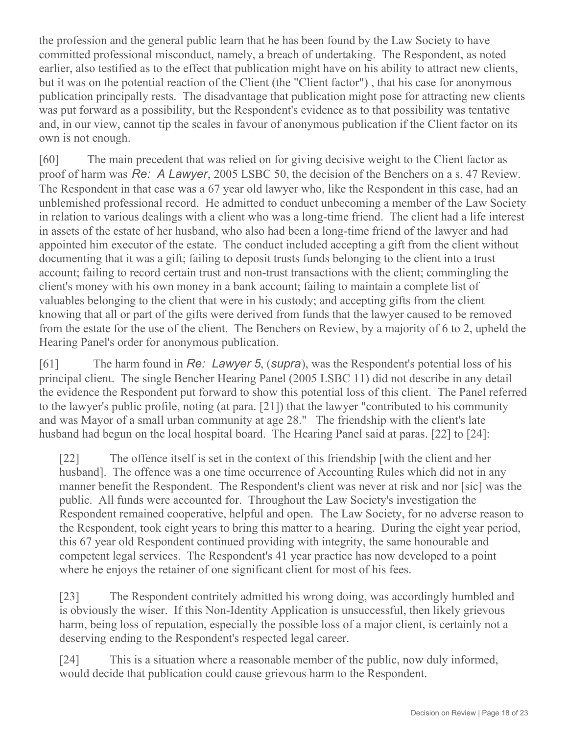the profession and the general public learn that he has been found by the Law Society to have committed professional misconduct, namely, a breach of undertaking. The Respondent, as noted earlier, also testified as to the effect that publication might have on his ability to attract new clients, but it was on the potential reaction of the Client (the "Client factor") , that his case for anonymous publication principally rests. The disadvantage that publication might pose for attracting new clients was put forward as a possibility, but the Respondent's evidence as to that possibility was tentative and, in our view, cannot tip the scales in favour of anonymous publication if the Client factor on its own is not enough.

[60] The main precedent that was relied on for giving decisive weight to the Client factor as proof of harm was *Re: A Lawyer*, 2005 LSBC 50, the decision of the Benchers on a s. 47 Review. The Respondent in that case was a 67 year old lawyer who, like the Respondent in this case, had an unblemished professional record. He admitted to conduct unbecoming a member of the Law Society in relation to various dealings with a client who was a long-time friend. The client had a life interest in assets of the estate of her husband, who also had been a long-time friend of the lawyer and had appointed him executor of the estate. The conduct included accepting a gift from the client without documenting that it was a gift; failing to deposit trusts funds belonging to the client into a trust account; failing to record certain trust and non-trust transactions with the client; commingling the client's money with his own money in a bank account; failing to maintain a complete list of valuables belonging to the client that were in his custody; and accepting gifts from the client knowing that all or part of the gifts were derived from funds that the lawyer caused to be removed from the estate for the use of the client. The Benchers on Review, by a majority of 6 to 2, upheld the Hearing Panel's order for anonymous publication.

[61] The harm found in *Re: Lawyer 5*, (*supra*), was the Respondent's potential loss of his principal client. The single Bencher Hearing Panel (2005 LSBC 11) did not describe in any detail the evidence the Respondent put forward to show this potential loss of this client. The Panel referred to the lawyer's public profile, noting (at para. [21]) that the lawyer "contributed to his community and was Mayor of a small urban community at age 28." The friendship with the client's late husband had begun on the local hospital board. The Hearing Panel said at paras. [22] to [24]:

[22] The offence itself is set in the context of this friendship [with the client and her husband]. The offence was a one time occurrence of Accounting Rules which did not in any manner benefit the Respondent. The Respondent's client was never at risk and nor [sic] was the public. All funds were accounted for. Throughout the Law Society's investigation the Respondent remained cooperative, helpful and open. The Law Society, for no adverse reason to the Respondent, took eight years to bring this matter to a hearing. During the eight year period, this 67 year old Respondent continued providing with integrity, the same honourable and competent legal services. The Respondent's 41 year practice has now developed to a point where he enjoys the retainer of one significant client for most of his fees.

[23] The Respondent contritely admitted his wrong doing, was accordingly humbled and is obviously the wiser. If this Non-Identity Application is unsuccessful, then likely grievous harm, being loss of reputation, especially the possible loss of a major client, is certainly not a deserving ending to the Respondent's respected legal career.

[24] This is a situation where a reasonable member of the public, now duly informed, would decide that publication could cause grievous harm to the Respondent.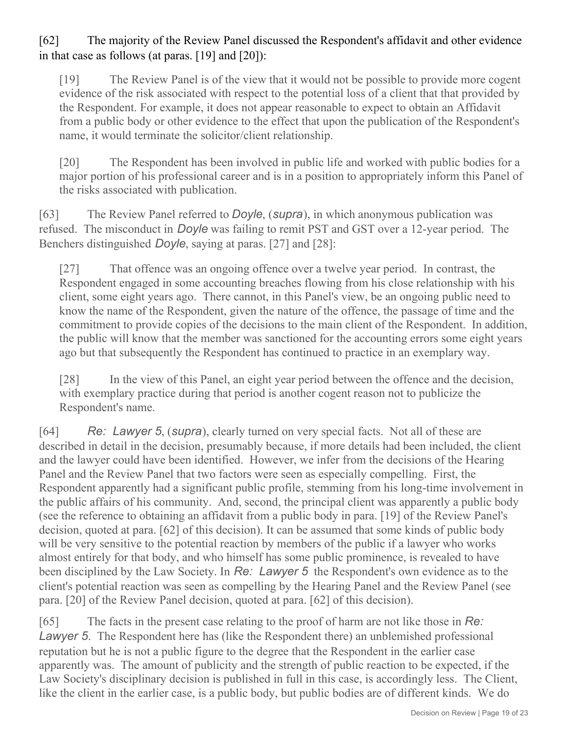# [62] The majority of the Review Panel discussed the Respondent's affidavit and other evidence in that case as follows (at paras. [19] and [20]):

[19] The Review Panel is of the view that it would not be possible to provide more cogent evidence of the risk associated with respect to the potential loss of a client that that provided by the Respondent. For example, it does not appear reasonable to expect to obtain an Affidavit from a public body or other evidence to the effect that upon the publication of the Respondent's name, it would terminate the solicitor/client relationship.

[20] The Respondent has been involved in public life and worked with public bodies for a major portion of his professional career and is in a position to appropriately inform this Panel of the risks associated with publication.

[63] The Review Panel referred to *Doyle*, (*supra*), in which anonymous publication was refused. The misconduct in *Doyle* was failing to remit PST and GST over a 12-year period. The Benchers distinguished *Doyle*, saying at paras. [27] and [28]:

[27] That offence was an ongoing offence over a twelve year period. In contrast, the Respondent engaged in some accounting breaches flowing from his close relationship with his client, some eight years ago. There cannot, in this Panel's view, be an ongoing public need to know the name of the Respondent, given the nature of the offence, the passage of time and the commitment to provide copies of the decisions to the main client of the Respondent. In addition, the public will know that the member was sanctioned for the accounting errors some eight years ago but that subsequently the Respondent has continued to practice in an exemplary way.

[28] In the view of this Panel, an eight year period between the offence and the decision, with exemplary practice during that period is another cogent reason not to publicize the Respondent's name.

[64] *Re: Lawyer 5*, (*supra*), clearly turned on very special facts. Not all of these are described in detail in the decision, presumably because, if more details had been included, the client and the lawyer could have been identified. However, we infer from the decisions of the Hearing Panel and the Review Panel that two factors were seen as especially compelling. First, the Respondent apparently had a significant public profile, stemming from his long-time involvement in the public affairs of his community. And, second, the principal client was apparently a public body (see the reference to obtaining an affidavit from a public body in para. [19] of the Review Panel's decision, quoted at para. [62] of this decision). It can be assumed that some kinds of public body will be very sensitive to the potential reaction by members of the public if a lawyer who works almost entirely for that body, and who himself has some public prominence, is revealed to have been disciplined by the Law Society. In *Re: Lawyer 5* the Respondent's own evidence as to the client's potential reaction was seen as compelling by the Hearing Panel and the Review Panel (see para. [20] of the Review Panel decision, quoted at para. [62] of this decision).

[65] The facts in the present case relating to the proof of harm are not like those in *Re: Lawyer 5*. The Respondent here has (like the Respondent there) an unblemished professional reputation but he is not a public figure to the degree that the Respondent in the earlier case apparently was. The amount of publicity and the strength of public reaction to be expected, if the Law Society's disciplinary decision is published in full in this case, is accordingly less. The Client, like the client in the earlier case, is a public body, but public bodies are of different kinds. We do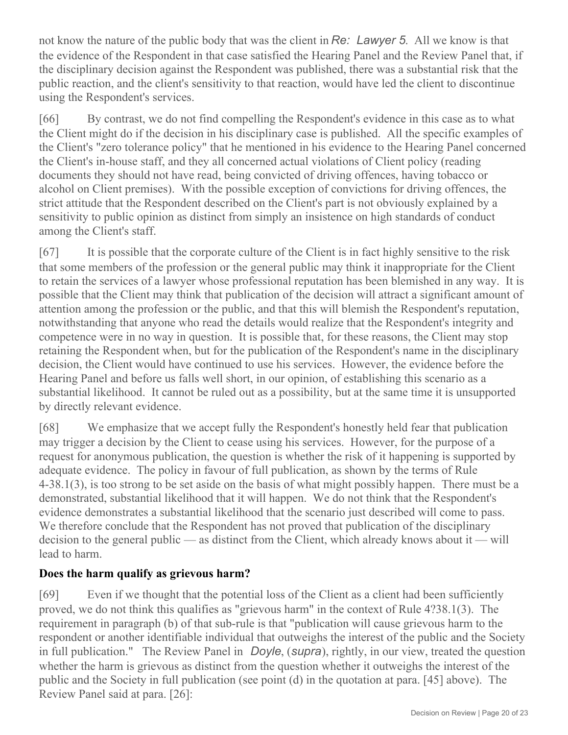not know the nature of the public body that was the client in *Re: Lawyer 5*. All we know is that the evidence of the Respondent in that case satisfied the Hearing Panel and the Review Panel that, if the disciplinary decision against the Respondent was published, there was a substantial risk that the public reaction, and the client's sensitivity to that reaction, would have led the client to discontinue using the Respondent's services.

[66] By contrast, we do not find compelling the Respondent's evidence in this case as to what the Client might do if the decision in his disciplinary case is published. All the specific examples of the Client's "zero tolerance policy" that he mentioned in his evidence to the Hearing Panel concerned the Client's in-house staff, and they all concerned actual violations of Client policy (reading documents they should not have read, being convicted of driving offences, having tobacco or alcohol on Client premises). With the possible exception of convictions for driving offences, the strict attitude that the Respondent described on the Client's part is not obviously explained by a sensitivity to public opinion as distinct from simply an insistence on high standards of conduct among the Client's staff.

[67] It is possible that the corporate culture of the Client is in fact highly sensitive to the risk that some members of the profession or the general public may think it inappropriate for the Client to retain the services of a lawyer whose professional reputation has been blemished in any way. It is possible that the Client may think that publication of the decision will attract a significant amount of attention among the profession or the public, and that this will blemish the Respondent's reputation, notwithstanding that anyone who read the details would realize that the Respondent's integrity and competence were in no way in question. It is possible that, for these reasons, the Client may stop retaining the Respondent when, but for the publication of the Respondent's name in the disciplinary decision, the Client would have continued to use his services. However, the evidence before the Hearing Panel and before us falls well short, in our opinion, of establishing this scenario as a substantial likelihood. It cannot be ruled out as a possibility, but at the same time it is unsupported by directly relevant evidence.

[68] We emphasize that we accept fully the Respondent's honestly held fear that publication may trigger a decision by the Client to cease using his services. However, for the purpose of a request for anonymous publication, the question is whether the risk of it happening is supported by adequate evidence. The policy in favour of full publication, as shown by the terms of Rule 4-38.1(3), is too strong to be set aside on the basis of what might possibly happen. There must be a demonstrated, substantial likelihood that it will happen. We do not think that the Respondent's evidence demonstrates a substantial likelihood that the scenario just described will come to pass. We therefore conclude that the Respondent has not proved that publication of the disciplinary decision to the general public — as distinct from the Client, which already knows about it — will lead to harm.

# **Does the harm qualify as grievous harm?**

[69] Even if we thought that the potential loss of the Client as a client had been sufficiently proved, we do not think this qualifies as "grievous harm" in the context of Rule 4?38.1(3). The requirement in paragraph (b) of that sub-rule is that "publication will cause grievous harm to the respondent or another identifiable individual that outweighs the interest of the public and the Society in full publication." The Review Panel in *Doyle*, (*supra*), rightly, in our view, treated the question whether the harm is grievous as distinct from the question whether it outweighs the interest of the public and the Society in full publication (see point (d) in the quotation at para. [45] above). The Review Panel said at para. [26]: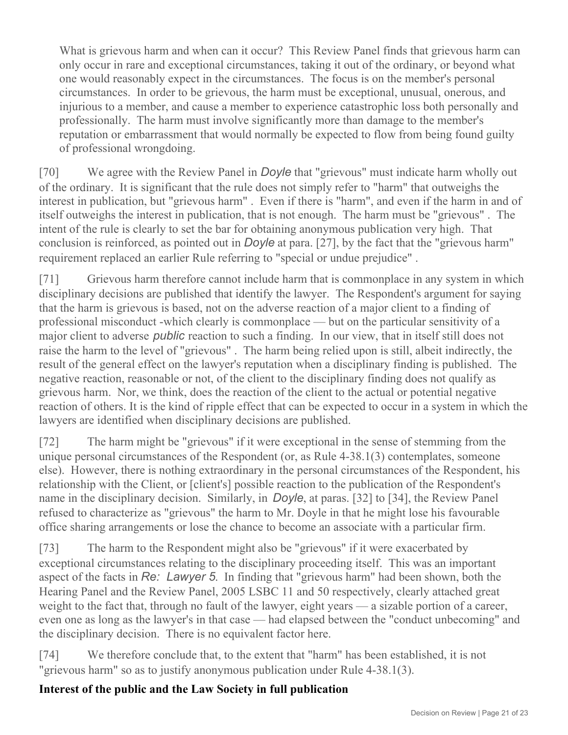What is grievous harm and when can it occur? This Review Panel finds that grievous harm can only occur in rare and exceptional circumstances, taking it out of the ordinary, or beyond what one would reasonably expect in the circumstances. The focus is on the member's personal circumstances. In order to be grievous, the harm must be exceptional, unusual, onerous, and injurious to a member, and cause a member to experience catastrophic loss both personally and professionally. The harm must involve significantly more than damage to the member's reputation or embarrassment that would normally be expected to flow from being found guilty of professional wrongdoing.

[70] We agree with the Review Panel in *Doyle* that "grievous" must indicate harm wholly out of the ordinary. It is significant that the rule does not simply refer to "harm" that outweighs the interest in publication, but "grievous harm" . Even if there is "harm", and even if the harm in and of itself outweighs the interest in publication, that is not enough. The harm must be "grievous" . The intent of the rule is clearly to set the bar for obtaining anonymous publication very high. That conclusion is reinforced, as pointed out in *Doyle* at para. [27], by the fact that the "grievous harm" requirement replaced an earlier Rule referring to "special or undue prejudice" .

[71] Grievous harm therefore cannot include harm that is commonplace in any system in which disciplinary decisions are published that identify the lawyer. The Respondent's argument for saying that the harm is grievous is based, not on the adverse reaction of a major client to a finding of professional misconduct -which clearly is commonplace — but on the particular sensitivity of a major client to adverse *public* reaction to such a finding. In our view, that in itself still does not raise the harm to the level of "grievous" . The harm being relied upon is still, albeit indirectly, the result of the general effect on the lawyer's reputation when a disciplinary finding is published. The negative reaction, reasonable or not, of the client to the disciplinary finding does not qualify as grievous harm. Nor, we think, does the reaction of the client to the actual or potential negative reaction of others. It is the kind of ripple effect that can be expected to occur in a system in which the lawyers are identified when disciplinary decisions are published.

[72] The harm might be "grievous" if it were exceptional in the sense of stemming from the unique personal circumstances of the Respondent (or, as Rule 4-38.1(3) contemplates, someone else). However, there is nothing extraordinary in the personal circumstances of the Respondent, his relationship with the Client, or [client's] possible reaction to the publication of the Respondent's name in the disciplinary decision. Similarly, in *Doyle*, at paras. [32] to [34], the Review Panel refused to characterize as "grievous" the harm to Mr. Doyle in that he might lose his favourable office sharing arrangements or lose the chance to become an associate with a particular firm.

[73] The harm to the Respondent might also be "grievous" if it were exacerbated by exceptional circumstances relating to the disciplinary proceeding itself. This was an important aspect of the facts in *Re: Lawyer 5*. In finding that "grievous harm" had been shown, both the Hearing Panel and the Review Panel, 2005 LSBC 11 and 50 respectively, clearly attached great weight to the fact that, through no fault of the lawyer, eight years — a sizable portion of a career, even one as long as the lawyer's in that case — had elapsed between the "conduct unbecoming" and the disciplinary decision. There is no equivalent factor here.

[74] We therefore conclude that, to the extent that "harm" has been established, it is not "grievous harm" so as to justify anonymous publication under Rule 4-38.1(3).

# **Interest of the public and the Law Society in full publication**